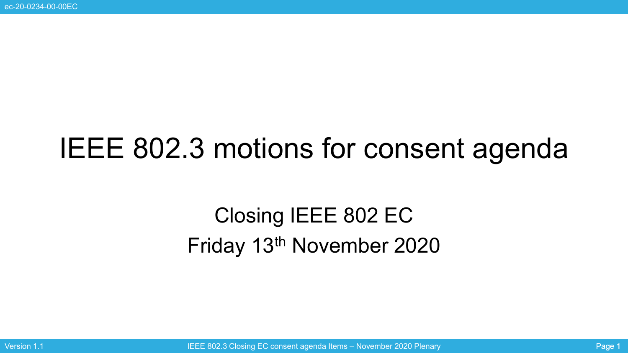# IEEE 802.3 motions for consent agenda

# Closing IEEE 802 EC Friday 13th November 2020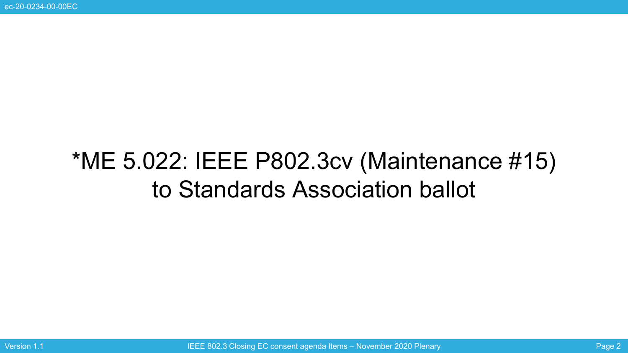# \*ME 5.022: IEEE P802.3cv (Maintenance #15) to Standards Association ballot

Version 1.1 **IEGE 802.3 Closing EC consent agenda Items – November 2020 Plenary Page 2** Page 2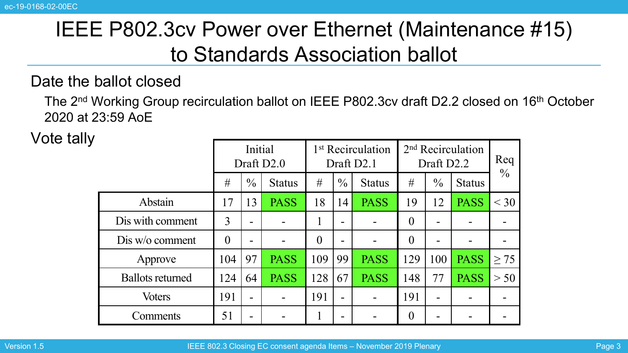### IEEE P802.3cv Power over Ethernet (Maintenance #15) to Standards Association ballot

#### Date the ballot closed

The 2<sup>nd</sup> Working Group recirculation ballot on IEEE P802.3cv draft D2.2 closed on 16<sup>th</sup> October 2020 at 23:59 AoE

Vote tally

|                         | Initial<br>Draft D <sub>2.0</sub> |               |               | 1 <sup>st</sup> Recirculation<br>Draft D2.1 |                |               | 2 <sup>nd</sup> Recirculation<br>Draft D2.2 |               |               | Req           |
|-------------------------|-----------------------------------|---------------|---------------|---------------------------------------------|----------------|---------------|---------------------------------------------|---------------|---------------|---------------|
|                         | #                                 | $\frac{0}{0}$ | <b>Status</b> | #                                           | $\frac{0}{0}$  | <b>Status</b> | #                                           | $\frac{0}{0}$ | <b>Status</b> | $\frac{0}{0}$ |
| Abstain                 | 17                                | 13            | <b>PASS</b>   | 18                                          | 14             | <b>PASS</b>   | 19                                          | 12            | <b>PASS</b>   | $<$ 30        |
| Dis with comment        | 3                                 | -             |               |                                             |                |               | $\theta$                                    |               |               |               |
| Dis w/o comment         | $\theta$                          | $\equiv$      |               | 0                                           |                |               | $\theta$                                    |               |               |               |
| Approve                 | 104                               | 97            | <b>PASS</b>   | 109                                         | 99             | <b>PASS</b>   | 129                                         | 100           | <b>PASS</b>   | $\geq$ 75     |
| <b>Ballots returned</b> | 124                               | 64            | <b>PASS</b>   | 128                                         | 67             | <b>PASS</b>   | 148                                         | 77            | <b>PASS</b>   | > 50          |
| <b>Voters</b>           | 191                               | -             |               | 191                                         | $\blacksquare$ |               | 191                                         | -             |               |               |
| Comments                | 51                                |               |               |                                             |                |               | $\theta$                                    |               |               |               |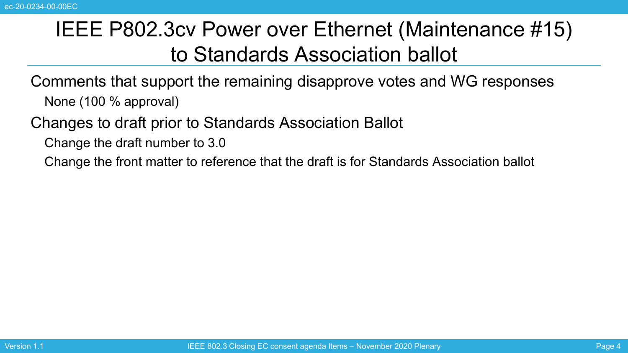#### IEEE P802.3cv Power over Ethernet (Maintenance #15) to Standards Association ballot

Comments that support the remaining disapprove votes and WG responses None (100 % approval)

Changes to draft prior to Standards Association Ballot

Change the draft number to 3.0

Change the front matter to reference that the draft is for Standards Association ballot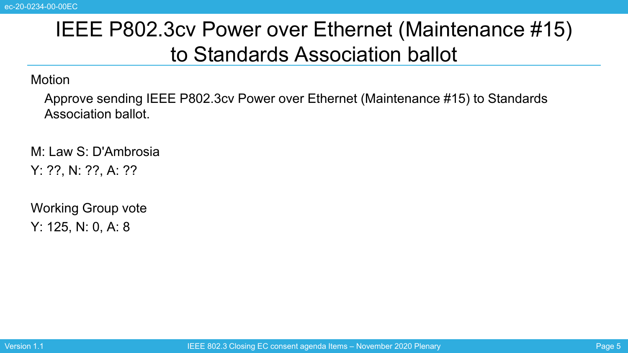### IEEE P802.3cv Power over Ethernet (Maintenance #15) to Standards Association ballot

**Motion** 

Approve sending IEEE P802.3cv Power over Ethernet (Maintenance #15) to Standards Association ballot.

M: Law S: D'Ambrosia Y: ??, N: ??, A: ??

Working Group vote Y: 125, N: 0, A: 8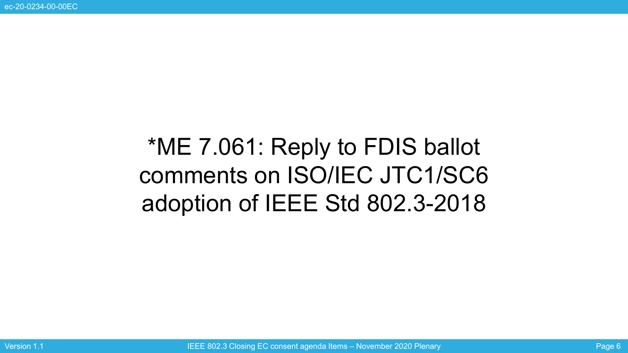# \*ME 7.061: Reply to FDIS ballot comments on ISO/IEC JTC1/SC6 adoption of IEEE Std 802.3-2018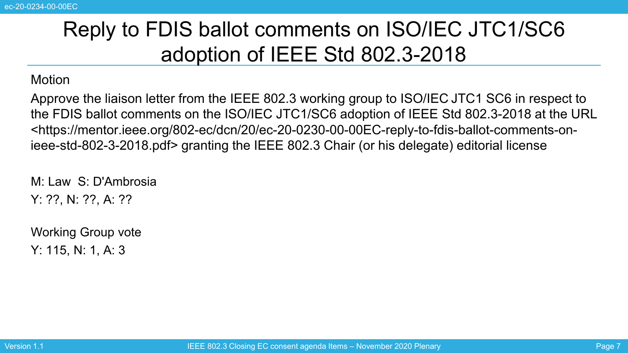### Reply to FDIS ballot comments on ISO/IEC JTC1/SC6 adoption of IEEE Std 802.3-2018

#### **Motion**

Approve the liaison letter from the IEEE 802.3 working group to ISO/IEC JTC1 SC6 in respect to the FDIS ballot comments on the ISO/IEC JTC1/SC6 adoption of IEEE Std 802.3-2018 at the URL <https://mentor.ieee.org/802-ec/dcn/20/ec-20-0230-00-00EC-reply-to-fdis-ballot-comments-onieee-std-802-3-2018.pdf> granting the IEEE 802.3 Chair (or his delegate) editorial license

M: Law S: D'Ambrosia Y: ??, N: ??, A: ??

Working Group vote Y: 115, N: 1, A: 3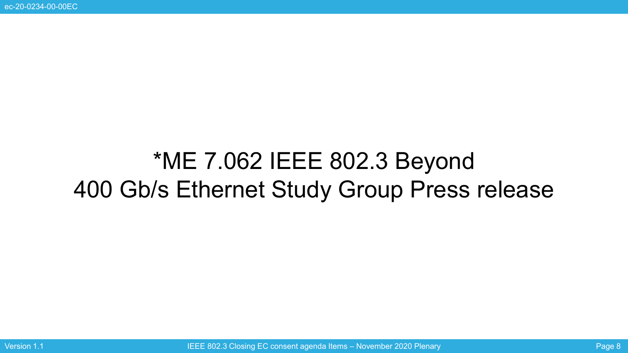# \*ME 7.062 IEEE 802.3 Beyond 400 Gb/s Ethernet Study Group Press release

Version 1.1 **IEGE 802.3 Closing EC consent agenda Items – November 2020 Plenary Page 8** Page 8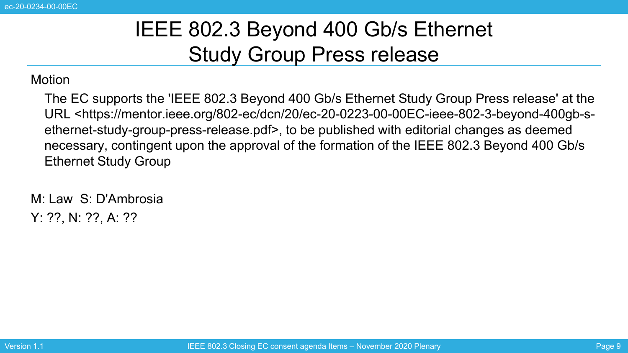#### IEEE 802.3 Beyond 400 Gb/s Ethernet Study Group Press release

#### **Motion**

The EC supports the 'IEEE 802.3 Beyond 400 Gb/s Ethernet Study Group Press release' at the URL <https://mentor.ieee.org/802-ec/dcn/20/ec-20-0223-00-00EC-ieee-802-3-beyond-400gb-sethernet-study-group-press-release.pdf>, to be published with editorial changes as deemed necessary, contingent upon the approval of the formation of the IEEE 802.3 Beyond 400 Gb/s Ethernet Study Group

M: Law S: D'Ambrosia Y: ??, N: ??, A: ??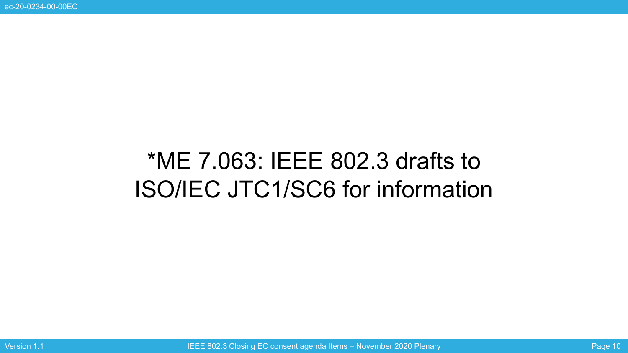# \*ME 7.063: IEEE 802.3 drafts to ISO/IEC JTC1/SC6 for information

Version 1.1 **IEGE 802.3 Closing EC consent agenda Items – November 2020 Plenary** Page 10